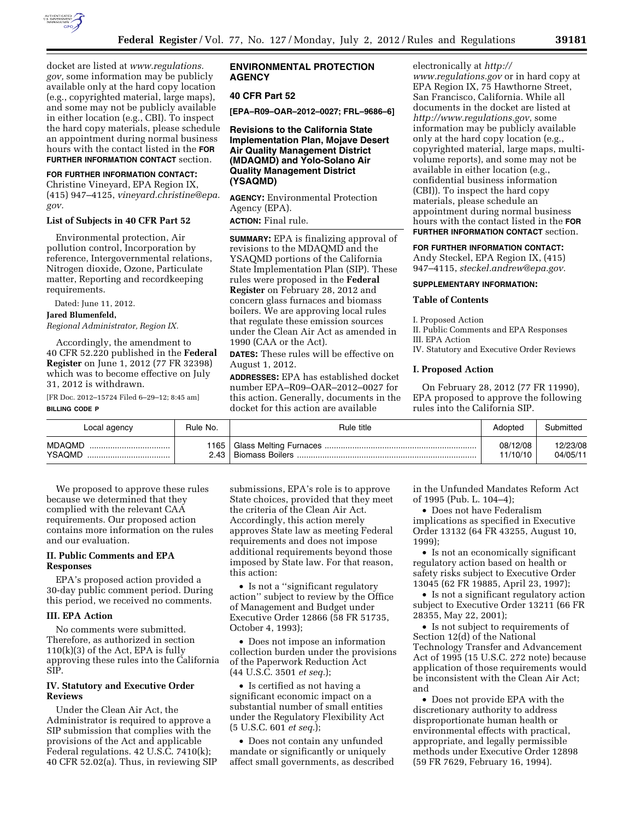

docket are listed at *[www.regulations.](http://www.regulations.gov) [gov,](http://www.regulations.gov)* some information may be publicly available only at the hard copy location (e.g., copyrighted material, large maps), and some may not be publicly available in either location (e.g., CBI). To inspect the hard copy materials, please schedule an appointment during normal business hours with the contact listed in the **FOR FURTHER INFORMATION CONTACT** section.

## **FOR FURTHER INFORMATION CONTACT:**

Christine Vineyard, EPA Region IX, (415) 947–4125, *[vineyard.christine@epa.](mailto:vineyard.christine@epa.gov) [gov.](mailto:vineyard.christine@epa.gov)* 

#### **List of Subjects in 40 CFR Part 52**

Environmental protection, Air pollution control, Incorporation by reference, Intergovernmental relations, Nitrogen dioxide, Ozone, Particulate matter, Reporting and recordkeeping requirements.

Dated: June 11, 2012.

#### **Jared Blumenfeld,**

*Regional Administrator, Region IX.* 

Accordingly, the amendment to 40 CFR 52.220 published in the **Federal Register** on June 1, 2012 (77 FR 32398) which was to become effective on July 31, 2012 is withdrawn.

[FR Doc. 2012–15724 Filed 6–29–12; 8:45 am] **BILLING CODE P** 

# **ENVIRONMENTAL PROTECTION AGENCY**

## **40 CFR Part 52**

**[EPA–R09–OAR–2012–0027; FRL–9686–6]** 

## **Revisions to the California State Implementation Plan, Mojave Desert Air Quality Management District (MDAQMD) and Yolo-Solano Air Quality Management District (YSAQMD)**

**AGENCY:** Environmental Protection Agency (EPA).

**ACTION:** Final rule.

**SUMMARY:** EPA is finalizing approval of revisions to the MDAQMD and the YSAQMD portions of the California State Implementation Plan (SIP). These rules were proposed in the **Federal Register** on February 28, 2012 and concern glass furnaces and biomass boilers. We are approving local rules that regulate these emission sources under the Clean Air Act as amended in 1990 (CAA or the Act).

**DATES:** These rules will be effective on August 1, 2012.

**ADDRESSES:** EPA has established docket number EPA–R09–OAR–2012–0027 for this action. Generally, documents in the docket for this action are available

electronically at *[http://](http://www.regulations.gov)* 

*[www.regulations.gov](http://www.regulations.gov)* or in hard copy at EPA Region IX, 75 Hawthorne Street, San Francisco, California. While all documents in the docket are listed at *<http://www.regulations.gov>*, some information may be publicly available only at the hard copy location (e.g., copyrighted material, large maps, multivolume reports), and some may not be available in either location (e.g., confidential business information (CBI)). To inspect the hard copy materials, please schedule an appointment during normal business hours with the contact listed in the **FOR FURTHER INFORMATION CONTACT** section.

#### **FOR FURTHER INFORMATION CONTACT:**

Andy Steckel, EPA Region IX, (415) 947–4115, *[steckel.andrew@epa.gov.](mailto:steckel.andrew@epa.gov)* 

### **SUPPLEMENTARY INFORMATION:**

#### **Table of Contents**

I. Proposed Action

II. Public Comments and EPA Responses III. EPA Action

IV. Statutory and Executive Order Reviews

### **I. Proposed Action**

On February 28, 2012 (77 FR 11990), EPA proposed to approve the following rules into the California SIP.

| Local agency                | Rule No. | Rule title | Adopted              | Submitted            |
|-----------------------------|----------|------------|----------------------|----------------------|
| <b>MDAQMD</b><br>YSAQMD<br> | 2.43     |            | 08/12/08<br>11/10/10 | 12/23/08<br>04/05/11 |

We proposed to approve these rules because we determined that they complied with the relevant CAA requirements. Our proposed action contains more information on the rules and our evaluation.

## **II. Public Comments and EPA Responses**

EPA's proposed action provided a 30-day public comment period. During this period, we received no comments.

#### **III. EPA Action**

No comments were submitted. Therefore, as authorized in section  $110(k)(3)$  of the Act, EPA is fully approving these rules into the California SIP.

## **IV. Statutory and Executive Order Reviews**

Under the Clean Air Act, the Administrator is required to approve a SIP submission that complies with the provisions of the Act and applicable Federal regulations. 42 U.S.C. 7410(k); 40 CFR 52.02(a). Thus, in reviewing SIP submissions, EPA's role is to approve State choices, provided that they meet the criteria of the Clean Air Act. Accordingly, this action merely approves State law as meeting Federal requirements and does not impose additional requirements beyond those imposed by State law. For that reason, this action:

• Is not a ''significant regulatory action'' subject to review by the Office of Management and Budget under Executive Order 12866 (58 FR 51735, October 4, 1993);

• Does not impose an information collection burden under the provisions of the Paperwork Reduction Act (44 U.S.C. 3501 *et seq.*);

• Is certified as not having a significant economic impact on a substantial number of small entities under the Regulatory Flexibility Act (5 U.S.C. 601 *et seq.*);

• Does not contain any unfunded mandate or significantly or uniquely affect small governments, as described in the Unfunded Mandates Reform Act of 1995 (Pub. L. 104–4);

• Does not have Federalism implications as specified in Executive Order 13132 (64 FR 43255, August 10, 1999);

• Is not an economically significant regulatory action based on health or safety risks subject to Executive Order 13045 (62 FR 19885, April 23, 1997);

• Is not a significant regulatory action subject to Executive Order 13211 (66 FR 28355, May 22, 2001);

• Is not subject to requirements of Section 12(d) of the National Technology Transfer and Advancement Act of 1995 (15 U.S.C. 272 note) because application of those requirements would be inconsistent with the Clean Air Act; and

• Does not provide EPA with the discretionary authority to address disproportionate human health or environmental effects with practical, appropriate, and legally permissible methods under Executive Order 12898 (59 FR 7629, February 16, 1994).